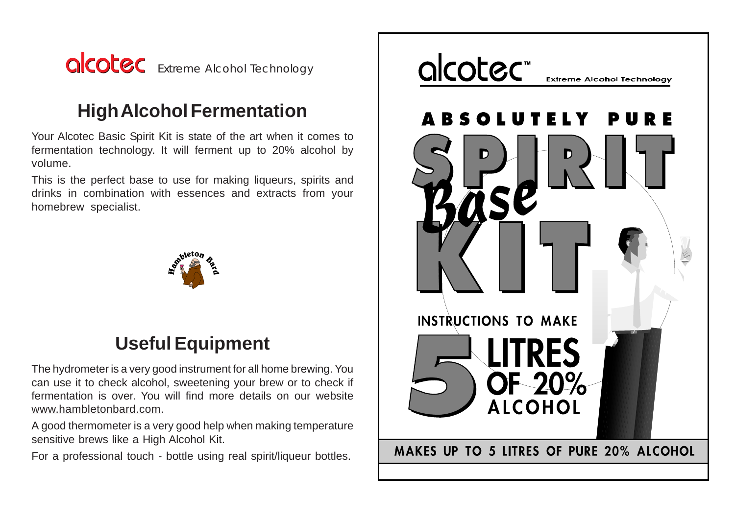

# **High Alcohol Fermentation**

Your Alcotec Basic Spirit Kit is state of the art when it comes to fermentation technology. It will ferment up to 20% alcohol by volume.

This is the perfect base to use for making liqueurs, spirits and drinks in combination with essences and extracts from your homebrew specialist.



# **Useful Equipment**

The hydrometer is a very good instrument for all home brewing. You can use it to check alcohol, sweetening your brew or to check if fermentation is over. You will find more details on our website www.hambletonbard.com.

A good thermometer is a very good help when making temperature sensitive brews like a High Alcohol Kit.

For a professional touch - bottle using real spirit/liqueur bottles.